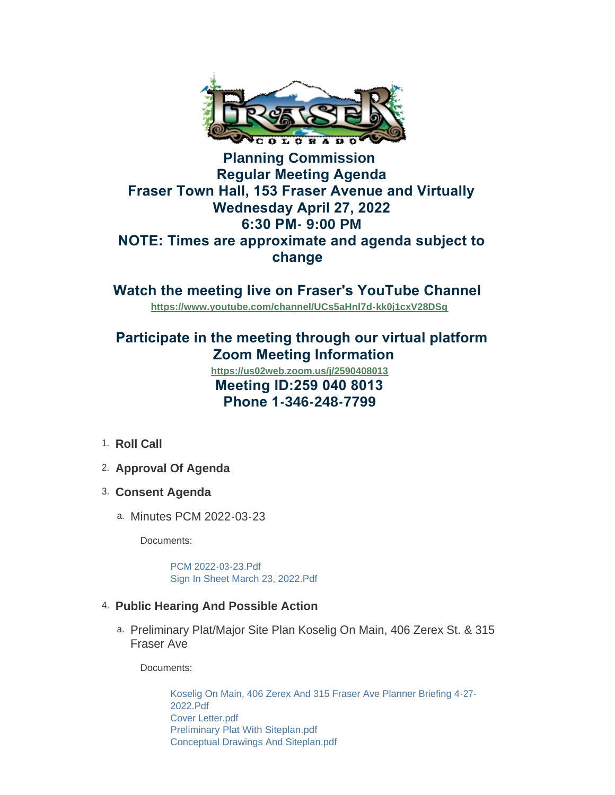

## **Planning Commission Regular Meeting Agenda Fraser Town Hall, 153 Fraser Avenue and Virtually Wednesday April 27, 2022 6:30 PM- 9:00 PM NOTE: Times are approximate and agenda subject to change**

**Watch the meeting live on Fraser's YouTube Channel** 

**<https://www.youtube.com/channel/UCs5aHnl7d-kk0j1cxV28DSg>**

# **Participate in the meeting through our virtual platform Zoom Meeting Information**

 **Meeting ID:259 040 8013 Phone 1-346-248-7799 <https://us02web.zoom.us/j/2590408013>**

- 1. Roll Call
- **Approval Of Agenda** 2.
- **Consent Agenda** 3.
	- a. Minutes PCM 2022-03-23

Documents:

[PCM 2022-03-23.Pdf](https://www.frasercolorado.com/AgendaCenter/ViewFile/Item/4092?fileID=3624) [Sign In Sheet March 23, 2022.Pdf](https://www.frasercolorado.com/AgendaCenter/ViewFile/Item/4092?fileID=3625)

#### **Public Hearing And Possible Action** 4.

Preliminary Plat/Major Site Plan Koselig On Main, 406 Zerex St. & 315 a. Fraser Ave

Documents:

[Koselig On Main, 406 Zerex And 315 Fraser Ave Planner Briefing 4-27-](https://www.frasercolorado.com/AgendaCenter/ViewFile/Item/4093?fileID=3630) 2022.Pdf [Cover Letter.pdf](https://www.frasercolorado.com/AgendaCenter/ViewFile/Item/4093?fileID=3629) [Preliminary Plat With Siteplan.pdf](https://www.frasercolorado.com/AgendaCenter/ViewFile/Item/4093?fileID=3640) [Conceptual Drawings And Siteplan.pdf](https://www.frasercolorado.com/AgendaCenter/ViewFile/Item/4093?fileID=3628)